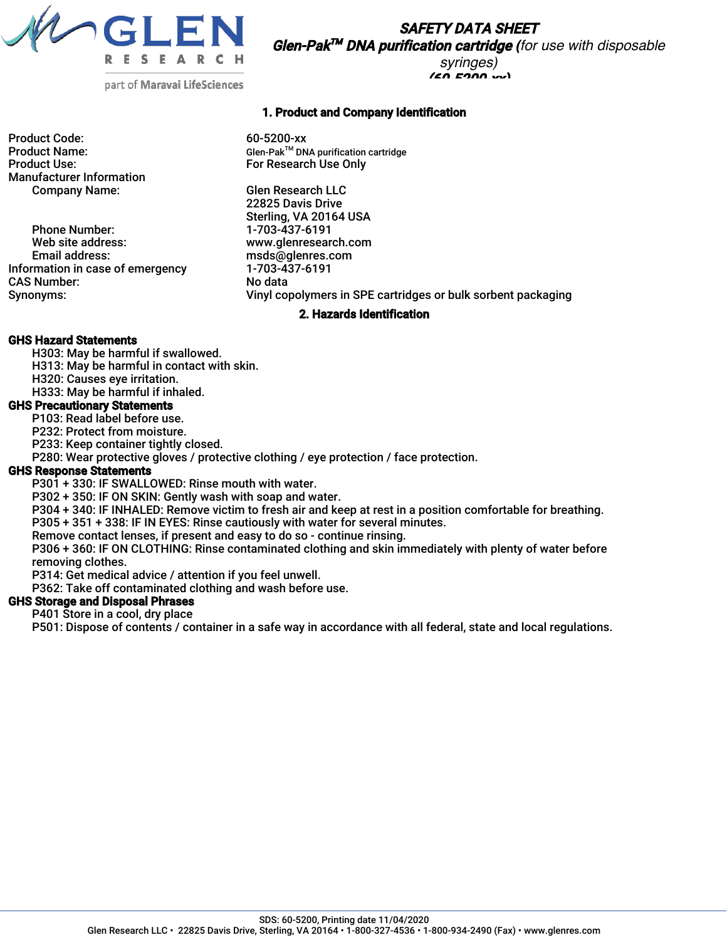

SAFETY DATA SHEET Glen-Pak TM DNA purification cartridge *(for use with disposable syringes)*

 $(60.5200 \times$ 

part of Maravai LifeSciences

Product Code: 60-5200-xx Manufacturer Information Company Name: Glen Research LLC

Phone Number: 1-703-437-6191<br>Web site address: 1-8 www.glenresear Web site address: www.glenresearch.com<br>
Email address: extending the msds@qlenres.com Information in case of emergency CAS Number: No data<br>
Synonyms: No data<br>
Vinyl co

## 1. Product and Company Identification

Product Name: Glen-Pak<sup>™</sup> DNA purification cartridge<br>Product Use: Glen-PakTM DIS For Research Use Only For Research Use Only

> 22825 Davis Drive Sterling, VA 20164 USA msds@glenres.com<br>1-703-437-6191 Vinyl copolymers in SPE cartridges or bulk sorbent packaging

#### 2. Hazards Identification

#### GHS Hazard Statements

- H303: May be harmful if swallowed.
- H313: May be harmful in contact with skin.
- H320: Causes eye irritation.

H333: May be harmful if inhaled.

## GHS Precautionary Statements

P103: Read label before use.

P232: Protect from moisture.

P233: Keep container tightly closed.

P280: Wear protective gloves / protective clothing / eye protection / face protection.

#### GHS Response Statements

P301 + 330: IF SWALLOWED: Rinse mouth with water.

P302 + 350: IF ON SKIN: Gently wash with soap and water.

P304 + 340: IF INHALED: Remove victim to fresh air and keep at rest in a position comfortable for breathing.

P305 + 351 + 338: IF IN EYES: Rinse cautiously with water for several minutes.

Remove contact lenses, if present and easy to do so - continue rinsing.

P306 + 360: IF ON CLOTHING: Rinse contaminated clothing and skin immediately with plenty of water before removing clothes.

P314: Get medical advice / attention if you feel unwell.

P362: Take off contaminated clothing and wash before use.

## GHS Storage and Disposal Phrases

P401 Store in a cool, dry place

P501: Dispose of contents / container in a safe way in accordance with all federal, state and local regulations.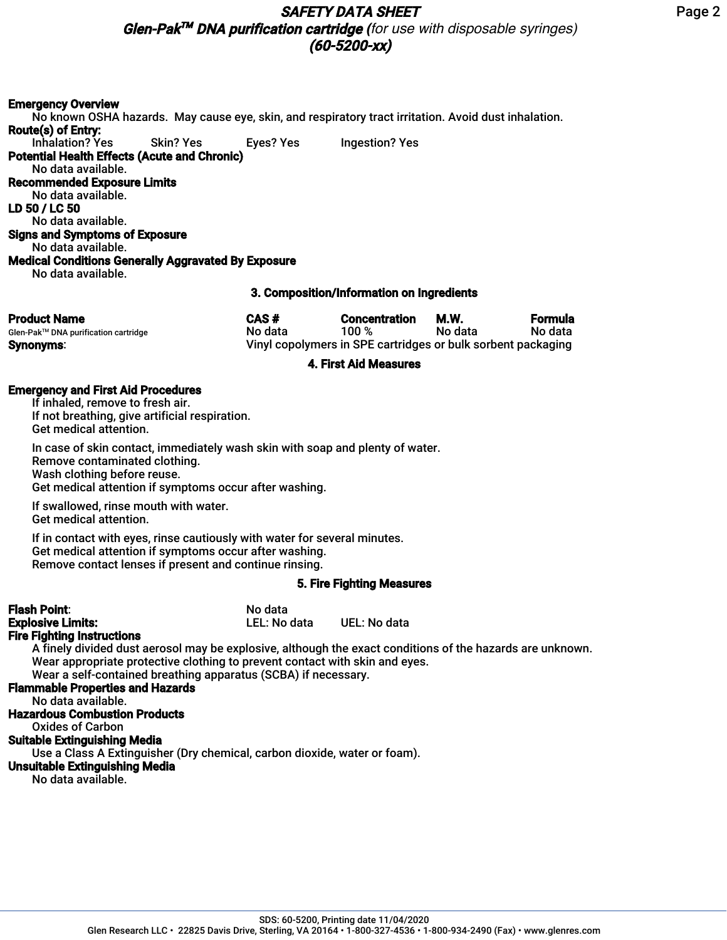# SAFETY DATA SHEET

Glen-Pak TM DNA purification cartridge *(for use with disposable syringes)* (60-5200-xx)

#### Emergency Overview

No known OSHA hazards. May cause eye, skin, and respiratory tract irritation. Avoid dust inhalation. Route(s) of Entry: Inhalation? Yes Skin? Yes Eyes? Yes Ingestion? Yes Potential Health Effects (Acute and Chronic) No data available. Recommended Exposure Limits No data available. LD 50 / LC 50 No data available. Signs and Symptoms of Exposure No data available. Medical Conditions Generally Aggravated By Exposure No data available.

#### 3. Composition/Information on Ingredients

| <b>Product Name</b>                  | CAS #   | <b>Concentration</b>                                         | M.W.    | Formula |
|--------------------------------------|---------|--------------------------------------------------------------|---------|---------|
| Glen-Pak™ DNA purification cartridge | No data | 100%                                                         | No data | No data |
| <b>Synonyms:</b>                     |         | Vinyl copolymers in SPE cartridges or bulk sorbent packaging |         |         |

#### 4. First Aid Measures

#### Emergency and First Aid Procedures

If inhaled, remove to fresh air. If not breathing, give artificial respiration. Get medical attention.

In case of skin contact, immediately wash skin with soap and plenty of water. Remove contaminated clothing. Wash clothing before reuse. Get medical attention if symptoms occur after washing.

If swallowed, rinse mouth with water. Get medical attention.

If in contact with eyes, rinse cautiously with water for several minutes. Get medical attention if symptoms occur after washing. Remove contact lenses if present and continue rinsing.

#### 5. Fire Fighting Measures

| <b>Flash Point:</b>                                                         | No data      |                                                                                                           |
|-----------------------------------------------------------------------------|--------------|-----------------------------------------------------------------------------------------------------------|
| <b>Explosive Limits:</b>                                                    | LEL: No data | UEL: No data                                                                                              |
| <b>Fire Fighting Instructions</b>                                           |              |                                                                                                           |
|                                                                             |              | A finely divided dust aerosol may be explosive, although the exact conditions of the hazards are unknown. |
| Wear appropriate protective clothing to prevent contact with skin and eyes. |              |                                                                                                           |
| Wear a self-contained breathing apparatus (SCBA) if necessary.              |              |                                                                                                           |
| <b>Flammable Properties and Hazards</b>                                     |              |                                                                                                           |
| No data available.                                                          |              |                                                                                                           |
| <b>Hazardous Combustion Products</b>                                        |              |                                                                                                           |
| <b>Oxides of Carbon</b>                                                     |              |                                                                                                           |
| <b>Suitable Extinguishing Media</b>                                         |              |                                                                                                           |
| Use a Class A Extinguisher (Dry chemical, carbon dioxide, water or foam).   |              |                                                                                                           |
| <b>Unsuitable Extinguishing Media</b>                                       |              |                                                                                                           |
| No data available.                                                          |              |                                                                                                           |
|                                                                             |              |                                                                                                           |

Page 2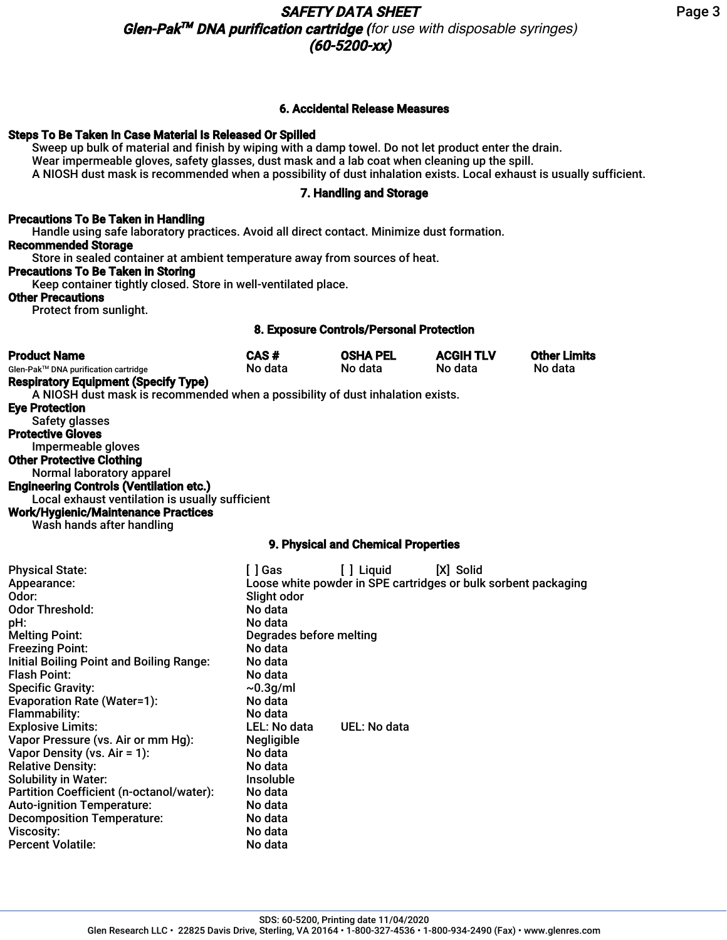## 6. Accidental Release Measures

## Steps To Be Taken In Case Material Is Released Or Spilled

Sweep up bulk of material and finish by wiping with a damp towel. Do not let product enter the drain. Wear impermeable gloves, safety glasses, dust mask and a lab coat when cleaning up the spill. A NIOSH dust mask is recommended when a possibility of dust inhalation exists. Local exhaust is usually sufficient.

## 7. Handling and Storage

# Precautions To Be Taken in Handling

Handle using safe laboratory practices. Avoid all direct contact. Minimize dust formation. Recommended Storage

Store in sealed container at ambient temperature away from sources of heat.

## Precautions To Be Taken in Storing

Keep container tightly closed. Store in well-ventilated place.

## Other Precautions

Protect from sunlight.

## 8. Exposure Controls/Personal Protection

| <b>Product Name</b>                                                            | CAS#    | <b>OSHA PEL</b>                     | <b>ACGIH TLV</b> | <b>Other Limits</b> |
|--------------------------------------------------------------------------------|---------|-------------------------------------|------------------|---------------------|
| Glen-Pak™ DNA purification cartridge                                           | No data | No data                             | No data          | No data             |
| <b>Respiratory Equipment (Specify Type)</b>                                    |         |                                     |                  |                     |
| A NIOSH dust mask is recommended when a possibility of dust inhalation exists. |         |                                     |                  |                     |
| <b>Eye Protection</b>                                                          |         |                                     |                  |                     |
| Safety glasses                                                                 |         |                                     |                  |                     |
| <b>Protective Gloves</b>                                                       |         |                                     |                  |                     |
| Impermeable gloves                                                             |         |                                     |                  |                     |
| <b>Other Protective Clothing</b>                                               |         |                                     |                  |                     |
| Normal laboratory apparel                                                      |         |                                     |                  |                     |
| <b>Engineering Controls (Ventilation etc.)</b>                                 |         |                                     |                  |                     |
| Local exhaust ventilation is usually sufficient                                |         |                                     |                  |                     |
| <b>Work/Hygienic/Maintenance Practices</b><br>Wash hands after handling        |         |                                     |                  |                     |
|                                                                                |         | 9. Physical and Chemical Properties |                  |                     |

| <b>Physical State:</b><br>Appearance:<br>Odor:<br><b>Odor Threshold:</b><br>pH:<br><b>Melting Point:</b><br><b>Freezing Point:</b>                                                                                                                                | [ ] Gas<br>Slight odor<br>No data<br>No data<br>Degrades before melting<br>No data<br>No data | [ ] Liquid   | [X] Solid<br>Loose white powder in SPE cartridges or bulk sorbent packaging |
|-------------------------------------------------------------------------------------------------------------------------------------------------------------------------------------------------------------------------------------------------------------------|-----------------------------------------------------------------------------------------------|--------------|-----------------------------------------------------------------------------|
| Initial Boiling Point and Boiling Range:<br><b>Flash Point:</b><br><b>Specific Gravity:</b><br><b>Evaporation Rate (Water=1):</b><br><b>Flammability:</b><br><b>Explosive Limits:</b><br>Vapor Pressure (vs. Air or mm Hg):                                       | No data<br>$\sim 0.3$ g/ml<br>No data<br>No data<br>LEL: No data<br><b>Negligible</b>         | UEL: No data |                                                                             |
| Vapor Density (vs. $Air = 1$ ):<br><b>Relative Density:</b><br><b>Solubility in Water:</b><br>Partition Coefficient (n-octanol/water):<br><b>Auto-ignition Temperature:</b><br><b>Decomposition Temperature:</b><br><b>Viscosity:</b><br><b>Percent Volatile:</b> | No data<br>No data<br><b>Insoluble</b><br>No data<br>No data<br>No data<br>No data<br>No data |              |                                                                             |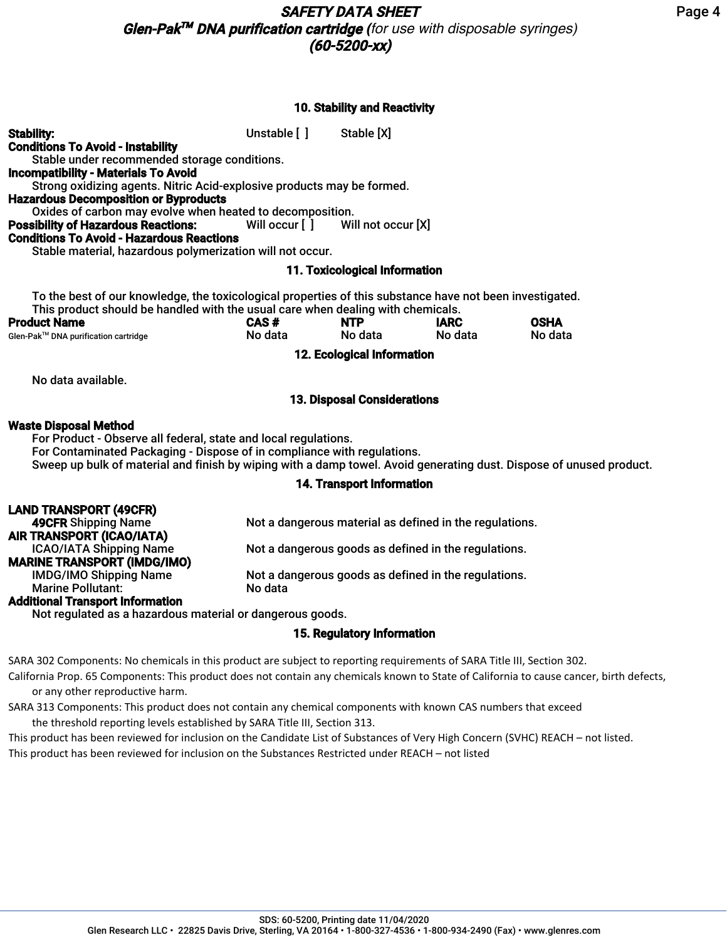## 10. Stability and Reactivity

| <b>Stability:</b><br><b>Conditions To Avoid - Instability</b><br>Stable under recommended storage conditions.<br><b>Incompatibility - Materials To Avoid</b><br>Strong oxidizing agents. Nitric Acid-explosive products may be formed.<br><b>Hazardous Decomposition or Byproducts</b>            | Unstable [ ]   | Stable [X]                         |             |             |
|---------------------------------------------------------------------------------------------------------------------------------------------------------------------------------------------------------------------------------------------------------------------------------------------------|----------------|------------------------------------|-------------|-------------|
| Oxides of carbon may evolve when heated to decomposition.                                                                                                                                                                                                                                         |                |                                    |             |             |
| <b>Possibility of Hazardous Reactions:</b>                                                                                                                                                                                                                                                        | Will occur [ ] | Will not occur [X]                 |             |             |
| <b>Conditions To Avoid - Hazardous Reactions</b><br>Stable material, hazardous polymerization will not occur.                                                                                                                                                                                     |                |                                    |             |             |
|                                                                                                                                                                                                                                                                                                   |                | 11. Toxicological Information      |             |             |
| To the best of our knowledge, the toxicological properties of this substance have not been investigated.<br>This product should be handled with the usual care when dealing with chemicals.                                                                                                       |                |                                    |             |             |
| <b>Product Name</b>                                                                                                                                                                                                                                                                               | CAS#           | <b>NTP</b>                         | <b>IARC</b> | <b>OSHA</b> |
| Glen-Pak™ DNA purification cartridge                                                                                                                                                                                                                                                              | No data        | No data                            | No data     | No data     |
| 12. Ecological Information                                                                                                                                                                                                                                                                        |                |                                    |             |             |
| No data available.                                                                                                                                                                                                                                                                                |                |                                    |             |             |
|                                                                                                                                                                                                                                                                                                   |                | <b>13. Disposal Considerations</b> |             |             |
| <b>Waste Disposal Method</b><br>For Product - Observe all federal, state and local regulations.<br>For Contaminated Packaging - Dispose of in compliance with regulations.<br>Sweep up bulk of material and finish by wiping with a damp towel. Avoid generating dust. Dispose of unused product. |                |                                    |             |             |

## 14. Transport Information

| <b>LAND TRANSPORT (49CFR)</b>           |                                                         |
|-----------------------------------------|---------------------------------------------------------|
| <b>49CFR Shipping Name</b>              | Not a dangerous material as defined in the regulations. |
| AIR TRANSPORT (ICAO/IATA)               |                                                         |
| <b>ICAO/IATA Shipping Name</b>          | Not a dangerous goods as defined in the regulations.    |
| <b>MARINE TRANSPORT (IMDG/IMO)</b>      |                                                         |
| <b>IMDG/IMO Shipping Name</b>           | Not a dangerous goods as defined in the regulations.    |
| <b>Marine Pollutant:</b>                | No data                                                 |
| <b>Additional Transport Information</b> |                                                         |
|                                         |                                                         |

Not regulated as a hazardous material or dangerous goods.

# 15. Regulatory Information

SARA 302 Components: No chemicals in this product are subject to reporting requirements of SARA Title III, Section 302.

California Prop. 65 Components: This product does not contain any chemicals known to State of California to cause cancer, birth defects, or any other reproductive harm.

SARA 313 Components: This product does not contain any chemical components with known CAS numbers that exceed the threshold reporting levels established by SARA Title III, Section 313.

This product has been reviewed for inclusion on the Candidate List of Substances of Very High Concern (SVHC) REACH – not listed. This product has been reviewed for inclusion on the Substances Restricted under REACH – not listed